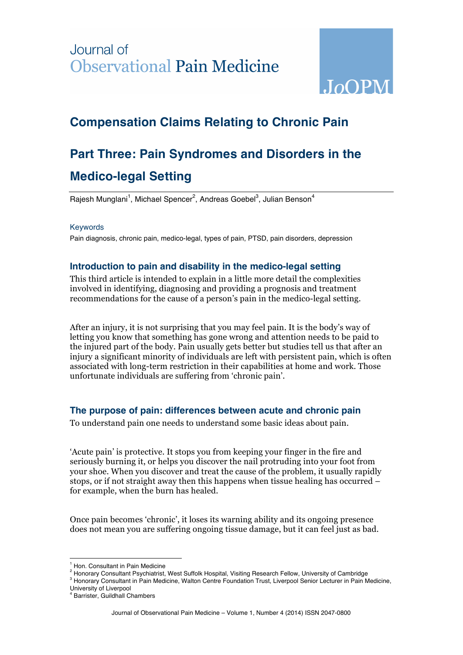## Journal of **Observational Pain Medicine**



### **Compensation Claims Relating to Chronic Pain**

# **Part Three: Pain Syndromes and Disorders in the Medico-legal Setting**

Rajesh Munglani<sup>1</sup>, Michael Spencer<sup>2</sup>, Andreas Goebel<sup>3</sup>, Julian Benson<sup>4</sup>

#### Keywords

Pain diagnosis, chronic pain, medico-legal, types of pain, PTSD, pain disorders, depression

#### **Introduction to pain and disability in the medico-legal setting**

This third article is intended to explain in a little more detail the complexities involved in identifying, diagnosing and providing a prognosis and treatment recommendations for the cause of a person's pain in the medico-legal setting.

After an injury, it is not surprising that you may feel pain. It is the body's way of letting you know that something has gone wrong and attention needs to be paid to the injured part of the body. Pain usually gets better but studies tell us that after an injury a significant minority of individuals are left with persistent pain, which is often associated with long-term restriction in their capabilities at home and work. Those unfortunate individuals are suffering from 'chronic pain'.

#### **The purpose of pain: differences between acute and chronic pain**

To understand pain one needs to understand some basic ideas about pain.

'Acute pain' is protective. It stops you from keeping your finger in the fire and seriously burning it, or helps you discover the nail protruding into your foot from your shoe. When you discover and treat the cause of the problem, it usually rapidly stops, or if not straight away then this happens when tissue healing has occurred – for example, when the burn has healed.

Once pain becomes 'chronic', it loses its warning ability and its ongoing presence does not mean you are suffering ongoing tissue damage, but it can feel just as bad.

<sup>&</sup>lt;sup>1</sup> Hon. Consultant in Pain Medicine

<sup>&</sup>lt;sup>2</sup> Honorary Consultant Psychiatrist, West Suffolk Hospital, Visiting Research Fellow, University of Cambridge

<sup>&</sup>lt;sup>3</sup> Honorary Consultant in Pain Medicine, Walton Centre Foundation Trust, Liverpool Senior Lecturer in Pain Medicine,

University of Liverpool <sup>4</sup> Barrister, Guildhall Chambers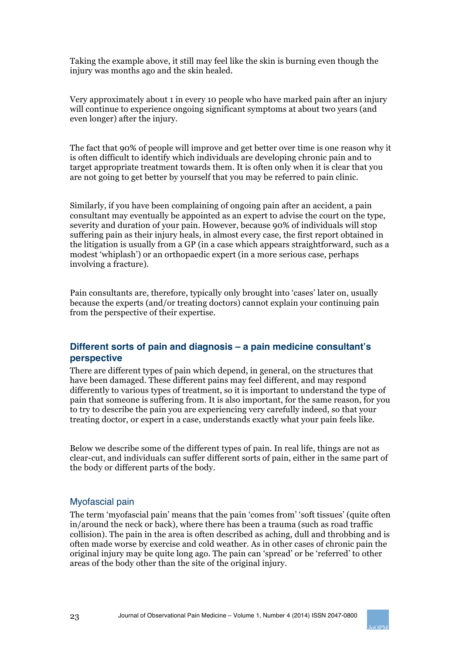Taking the example above, it still may feel like the skin is burning even though the injury was months ago and the skin healed.

Very approximately about 1 in every 10 people who have marked pain after an injury will continue to experience ongoing significant symptoms at about two years (and even longer) after the injury.

The fact that 90% of people will improve and get better over time is one reason why it is often difficult to identify which individuals are developing chronic pain and to target appropriate treatment towards them. It is often only when it is clear that you are not going to get better by yourself that you may be referred to pain clinic.

Similarly, if you have been complaining of ongoing pain after an accident, a pain consultant may eventually be appointed as an expert to advise the court on the type, severity and duration of your pain. However, because 90% of individuals will stop suffering pain as their injury heals, in almost every case, the first report obtained in the litigation is usually from a GP (in a case which appears straightforward, such as a modest 'whiplash') or an orthopaedic expert (in a more serious case, perhaps involving a fracture).

Pain consultants are, therefore, typically only brought into 'cases' later on, usually because the experts (and/or treating doctors) cannot explain your continuing pain from the perspective of their expertise.

#### **Different sorts of pain and diagnosis – a pain medicine consultant's perspective**

There are different types of pain which depend, in general, on the structures that have been damaged. These different pains may feel different, and may respond differently to various types of treatment, so it is important to understand the type of pain that someone is suffering from. It is also important, for the same reason, for you to try to describe the pain you are experiencing very carefully indeed, so that your treating doctor, or expert in a case, understands exactly what your pain feels like.

Below we describe some of the different types of pain. In real life, things are not as clear-cut, and individuals can suffer different sorts of pain, either in the same part of the body or different parts of the body.

#### Myofascial pain

The term 'myofascial pain' means that the pain 'comes from' 'soft tissues' (quite often in/around the neck or back), where there has been a trauma (such as road traffic collision). The pain in the area is often described as aching, dull and throbbing and is often made worse by exercise and cold weather. As in other cases of chronic pain the original injury may be quite long ago. The pain can 'spread' or be 'referred' to other areas of the body other than the site of the original injury.

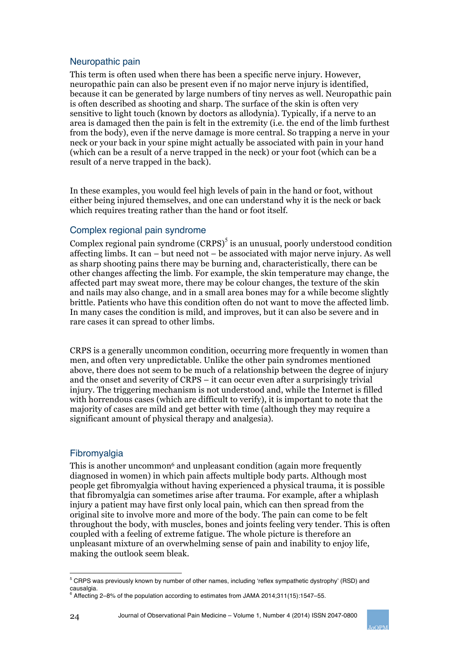#### Neuropathic pain

This term is often used when there has been a specific nerve injury. However, neuropathic pain can also be present even if no major nerve injury is identified, because it can be generated by large numbers of tiny nerves as well. Neuropathic pain is often described as shooting and sharp. The surface of the skin is often very sensitive to light touch (known by doctors as allodynia). Typically, if a nerve to an area is damaged then the pain is felt in the extremity (i.e. the end of the limb furthest from the body), even if the nerve damage is more central. So trapping a nerve in your neck or your back in your spine might actually be associated with pain in your hand (which can be a result of a nerve trapped in the neck) or your foot (which can be a result of a nerve trapped in the back).

In these examples, you would feel high levels of pain in the hand or foot, without either being injured themselves, and one can understand why it is the neck or back which requires treating rather than the hand or foot itself.

#### Complex regional pain syndrome

Complex regional pain syndrome  $(CRPS)^5$  is an unusual, poorly understood condition affecting limbs. It can – but need not – be associated with major nerve injury. As well as sharp shooting pains there may be burning and, characteristically, there can be other changes affecting the limb. For example, the skin temperature may change, the affected part may sweat more, there may be colour changes, the texture of the skin and nails may also change, and in a small area bones may for a while become slightly brittle. Patients who have this condition often do not want to move the affected limb. In many cases the condition is mild, and improves, but it can also be severe and in rare cases it can spread to other limbs.

CRPS is a generally uncommon condition, occurring more frequently in women than men, and often very unpredictable. Unlike the other pain syndromes mentioned above, there does not seem to be much of a relationship between the degree of injury and the onset and severity of CRPS – it can occur even after a surprisingly trivial injury. The triggering mechanism is not understood and, while the Internet is filled with horrendous cases (which are difficult to verify), it is important to note that the majority of cases are mild and get better with time (although they may require a significant amount of physical therapy and analgesia).

#### Fibromyalgia

This is another uncommon<sup>6</sup> and unpleasant condition (again more frequently diagnosed in women) in which pain affects multiple body parts. Although most people get fibromyalgia without having experienced a physical trauma, it is possible that fibromyalgia can sometimes arise after trauma. For example, after a whiplash injury a patient may have first only local pain, which can then spread from the original site to involve more and more of the body. The pain can come to be felt throughout the body, with muscles, bones and joints feeling very tender. This is often coupled with a feeling of extreme fatigue. The whole picture is therefore an unpleasant mixture of an overwhelming sense of pain and inability to enjoy life, making the outlook seem bleak.



 $5$  CRPS was previously known by number of other names, including 'reflex sympathetic dystrophy' (RSD) and

causalgia. <sup>6</sup> Affecting 2–8% of the population according to estimates from JAMA 2014;311(15):1547–55.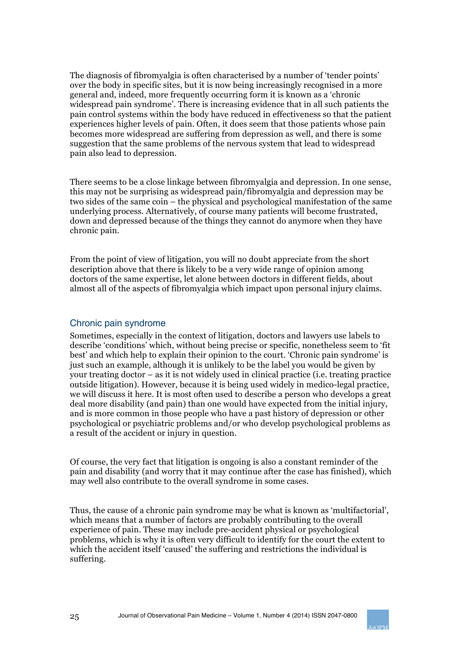The diagnosis of fibromyalgia is often characterised by a number of 'tender points' over the body in specific sites, but it is now being increasingly recognised in a more general and, indeed, more frequently occurring form it is known as a 'chronic widespread pain syndrome'. There is increasing evidence that in all such patients the pain control systems within the body have reduced in effectiveness so that the patient experiences higher levels of pain. Often, it does seem that those patients whose pain becomes more widespread are suffering from depression as well, and there is some suggestion that the same problems of the nervous system that lead to widespread pain also lead to depression.

There seems to be a close linkage between fibromyalgia and depression. In one sense, this may not be surprising as widespread pain/fibromyalgia and depression may be two sides of the same coin – the physical and psychological manifestation of the same underlying process. Alternatively, of course many patients will become frustrated, down and depressed because of the things they cannot do anymore when they have chronic pain.

From the point of view of litigation, you will no doubt appreciate from the short description above that there is likely to be a very wide range of opinion among doctors of the same expertise, let alone between doctors in different fields, about almost all of the aspects of fibromyalgia which impact upon personal injury claims.

#### Chronic pain syndrome

Sometimes, especially in the context of litigation, doctors and lawyers use labels to describe 'conditions' which, without being precise or specific, nonetheless seem to 'fit best' and which help to explain their opinion to the court. 'Chronic pain syndrome' is just such an example, although it is unlikely to be the label you would be given by your treating doctor – as it is not widely used in clinical practice (i.e. treating practice outside litigation). However, because it is being used widely in medico-legal practice, we will discuss it here. It is most often used to describe a person who develops a great deal more disability (and pain) than one would have expected from the initial injury, and is more common in those people who have a past history of depression or other psychological or psychiatric problems and/or who develop psychological problems as a result of the accident or injury in question.

Of course, the very fact that litigation is ongoing is also a constant reminder of the pain and disability (and worry that it may continue after the case has finished), which may well also contribute to the overall syndrome in some cases.

Thus, the cause of a chronic pain syndrome may be what is known as 'multifactorial', which means that a number of factors are probably contributing to the overall experience of pain. These may include pre-accident physical or psychological problems, which is why it is often very difficult to identify for the court the extent to which the accident itself 'caused' the suffering and restrictions the individual is suffering.

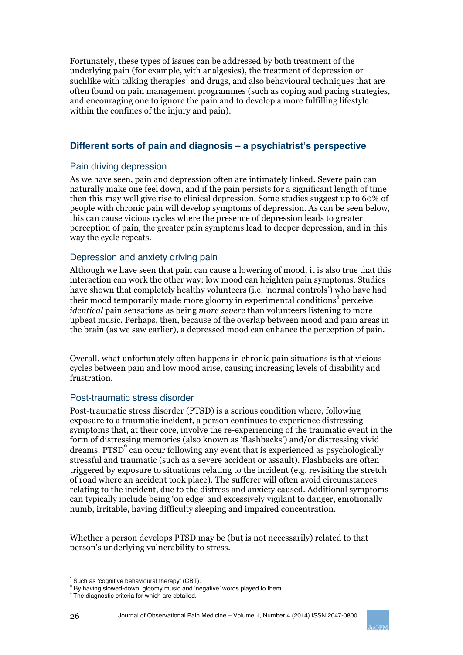Fortunately, these types of issues can be addressed by both treatment of the underlying pain (for example, with analgesics), the treatment of depression or suchlike with talking therapies<sup>7</sup> and drugs, and also behavioural techniques that are often found on pain management programmes (such as coping and pacing strategies, and encouraging one to ignore the pain and to develop a more fulfilling lifestyle within the confines of the injury and pain).

#### **Different sorts of pain and diagnosis – a psychiatrist's perspective**

#### Pain driving depression

As we have seen, pain and depression often are intimately linked. Severe pain can naturally make one feel down, and if the pain persists for a significant length of time then this may well give rise to clinical depression. Some studies suggest up to 60% of people with chronic pain will develop symptoms of depression. As can be seen below, this can cause vicious cycles where the presence of depression leads to greater perception of pain, the greater pain symptoms lead to deeper depression, and in this way the cycle repeats.

#### Depression and anxiety driving pain

Although we have seen that pain can cause a lowering of mood, it is also true that this interaction can work the other way: low mood can heighten pain symptoms. Studies have shown that completely healthy volunteers (i.e. 'normal controls') who have had their mood temporarily made more gloomy in experimental conditions<sup>8</sup> perceive *identical* pain sensations as being *more severe* than volunteers listening to more upbeat music. Perhaps, then, because of the overlap between mood and pain areas in the brain (as we saw earlier), a depressed mood can enhance the perception of pain.

Overall, what unfortunately often happens in chronic pain situations is that vicious cycles between pain and low mood arise, causing increasing levels of disability and frustration.

#### Post-traumatic stress disorder

Post-traumatic stress disorder (PTSD) is a serious condition where, following exposure to a traumatic incident, a person continues to experience distressing symptoms that, at their core, involve the re-experiencing of the traumatic event in the form of distressing memories (also known as 'flashbacks') and/or distressing vivid dreams. PTSD $<sup>9</sup>$  can occur following any event that is experienced as psychologically</sup> stressful and traumatic (such as a severe accident or assault). Flashbacks are often triggered by exposure to situations relating to the incident (e.g. revisiting the stretch of road where an accident took place). The sufferer will often avoid circumstances relating to the incident, due to the distress and anxiety caused. Additional symptoms can typically include being 'on edge' and excessively vigilant to danger, emotionally numb, irritable, having difficulty sleeping and impaired concentration.

Whether a person develops PTSD may be (but is not necessarily) related to that person's underlying vulnerability to stress.

<sup>26</sup> Journal of Observational Pain Medicine – Volume 1, Number 4 (2014) ISSN 2047-0800



 $7$  Such as 'cognitive behavioural therapy' (CBT).

<sup>&</sup>lt;sup>8</sup> By having slowed-down, gloomy music and 'negative' words played to them.

<sup>&</sup>lt;sup>9</sup> The diagnostic criteria for which are detailed.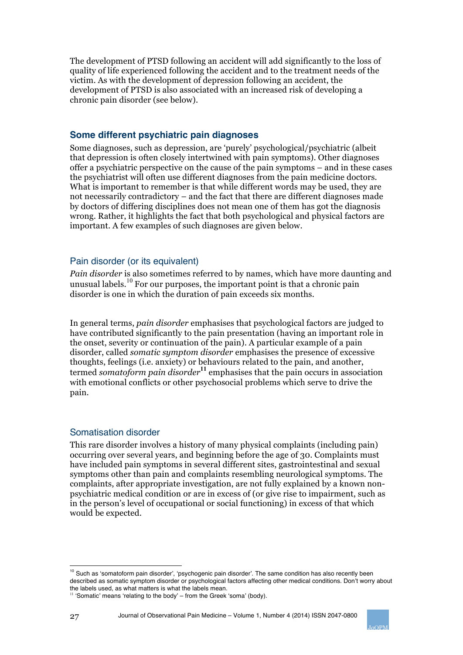The development of PTSD following an accident will add significantly to the loss of quality of life experienced following the accident and to the treatment needs of the victim. As with the development of depression following an accident, the development of PTSD is also associated with an increased risk of developing a chronic pain disorder (see below).

#### **Some different psychiatric pain diagnoses**

Some diagnoses, such as depression, are 'purely' psychological/psychiatric (albeit that depression is often closely intertwined with pain symptoms). Other diagnoses offer a psychiatric perspective on the cause of the pain symptoms – and in these cases the psychiatrist will often use different diagnoses from the pain medicine doctors. What is important to remember is that while different words may be used, they are not necessarily contradictory – and the fact that there are different diagnoses made by doctors of differing disciplines does not mean one of them has got the diagnosis wrong. Rather, it highlights the fact that both psychological and physical factors are important. A few examples of such diagnoses are given below.

#### Pain disorder (or its equivalent)

*Pain disorder* is also sometimes referred to by names, which have more daunting and unusual labels. <sup>10</sup> For our purposes, the important point is that a chronic pain disorder is one in which the duration of pain exceeds six months.

In general terms, *pain disorder* emphasises that psychological factors are judged to have contributed significantly to the pain presentation (having an important role in the onset, severity or continuation of the pain). A particular example of a pain disorder, called *somatic symptom disorder* emphasises the presence of excessive thoughts, feelings (i.e. anxiety) or behaviours related to the pain, and another, termed *somatoform pain disorder***<sup>11</sup>** emphasises that the pain occurs in association with emotional conflicts or other psychosocial problems which serve to drive the pain.

#### Somatisation disorder

This rare disorder involves a history of many physical complaints (including pain) occurring over several years, and beginning before the age of 30. Complaints must have included pain symptoms in several different sites, gastrointestinal and sexual symptoms other than pain and complaints resembling neurological symptoms. The complaints, after appropriate investigation, are not fully explained by a known nonpsychiatric medical condition or are in excess of (or give rise to impairment, such as in the person's level of occupational or social functioning) in excess of that which would be expected.



 $10$  Such as 'somatoform pain disorder', 'psychogenic pain disorder'. The same condition has also recently been described as somatic symptom disorder or psychological factors affecting other medical conditions. Don't worry about the labels used, as what matters is what the labels mean.

 $11$  'Somatic' means 'relating to the body' – from the Greek 'soma' (body).